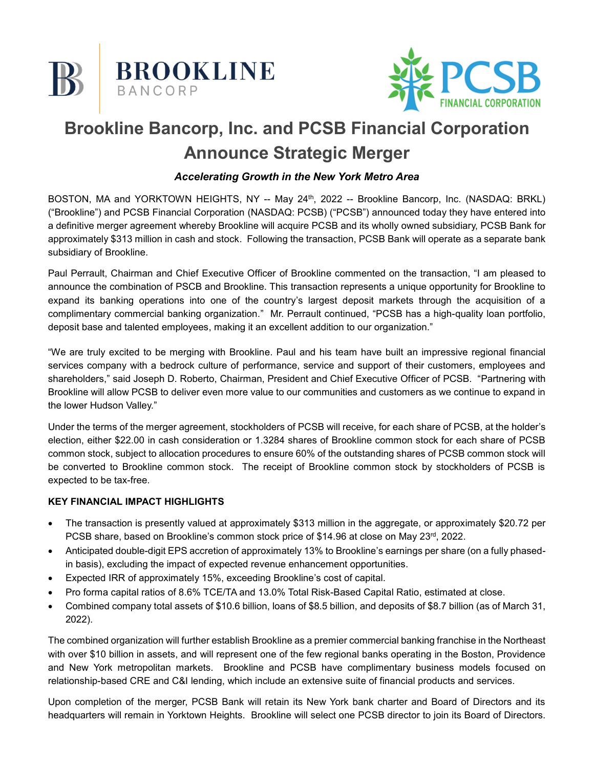



# **Brookline Bancorp, Inc. and PCSB Financial Corporation Announce Strategic Merger**

# *Accelerating Growth in the New York Metro Area*

BOSTON, MA and YORKTOWN HEIGHTS, NY -- May 24<sup>th</sup>, 2022 -- Brookline Bancorp, Inc. (NASDAQ: BRKL) ("Brookline") and PCSB Financial Corporation (NASDAQ: PCSB) ("PCSB") announced today they have entered into a definitive merger agreement whereby Brookline will acquire PCSB and its wholly owned subsidiary, PCSB Bank for approximately \$313 million in cash and stock. Following the transaction, PCSB Bank will operate as a separate bank subsidiary of Brookline.

Paul Perrault, Chairman and Chief Executive Officer of Brookline commented on the transaction, "I am pleased to announce the combination of PSCB and Brookline. This transaction represents a unique opportunity for Brookline to expand its banking operations into one of the country's largest deposit markets through the acquisition of a complimentary commercial banking organization." Mr. Perrault continued, "PCSB has a high-quality loan portfolio, deposit base and talented employees, making it an excellent addition to our organization."

"We are truly excited to be merging with Brookline. Paul and his team have built an impressive regional financial services company with a bedrock culture of performance, service and support of their customers, employees and shareholders," said Joseph D. Roberto, Chairman, President and Chief Executive Officer of PCSB. "Partnering with Brookline will allow PCSB to deliver even more value to our communities and customers as we continue to expand in the lower Hudson Valley."

Under the terms of the merger agreement, stockholders of PCSB will receive, for each share of PCSB, at the holder's election, either \$22.00 in cash consideration or 1.3284 shares of Brookline common stock for each share of PCSB common stock, subject to allocation procedures to ensure 60% of the outstanding shares of PCSB common stock will be converted to Brookline common stock. The receipt of Brookline common stock by stockholders of PCSB is expected to be tax-free.

### **KEY FINANCIAL IMPACT HIGHLIGHTS**

- The transaction is presently valued at approximately \$313 million in the aggregate, or approximately \$20.72 per PCSB share, based on Brookline's common stock price of \$14.96 at close on May 23<sup>rd</sup>, 2022.
- Anticipated double-digit EPS accretion of approximately 13% to Brookline's earnings per share (on a fully phasedin basis), excluding the impact of expected revenue enhancement opportunities.
- Expected IRR of approximately 15%, exceeding Brookline's cost of capital.
- Pro forma capital ratios of 8.6% TCE/TA and 13.0% Total Risk-Based Capital Ratio, estimated at close.
- Combined company total assets of \$10.6 billion, loans of \$8.5 billion, and deposits of \$8.7 billion (as of March 31, 2022).

The combined organization will further establish Brookline as a premier commercial banking franchise in the Northeast with over \$10 billion in assets, and will represent one of the few regional banks operating in the Boston, Providence and New York metropolitan markets. Brookline and PCSB have complimentary business models focused on relationship-based CRE and C&I lending, which include an extensive suite of financial products and services.

Upon completion of the merger, PCSB Bank will retain its New York bank charter and Board of Directors and its headquarters will remain in Yorktown Heights. Brookline will select one PCSB director to join its Board of Directors.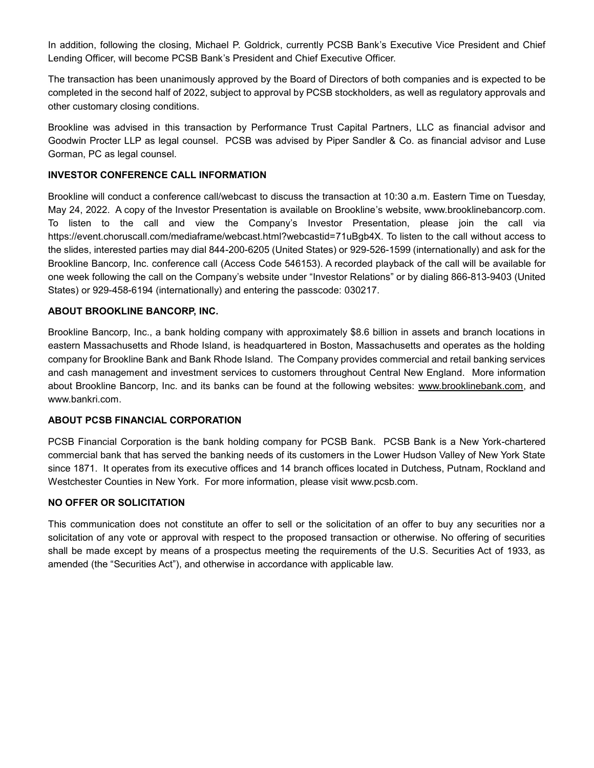In addition, following the closing, Michael P. Goldrick, currently PCSB Bank's Executive Vice President and Chief Lending Officer, will become PCSB Bank's President and Chief Executive Officer.

The transaction has been unanimously approved by the Board of Directors of both companies and is expected to be completed in the second half of 2022, subject to approval by PCSB stockholders, as well as regulatory approvals and other customary closing conditions.

Brookline was advised in this transaction by Performance Trust Capital Partners, LLC as financial advisor and Goodwin Procter LLP as legal counsel. PCSB was advised by Piper Sandler & Co. as financial advisor and Luse Gorman, PC as legal counsel.

### **INVESTOR CONFERENCE CALL INFORMATION**

Brookline will conduct a conference call/webcast to discuss the transaction at 10:30 a.m. Eastern Time on Tuesday, May 24, 2022. A copy of the Investor Presentation is available on Brookline's website, www.brooklinebancorp.com. To listen to the call and view the Company's Investor Presentation, please join the call via https://event.choruscall.com/mediaframe/webcast.html?webcastid=71uBgb4X. To listen to the call without access to the slides, interested parties may dial 844-200-6205 (United States) or 929-526-1599 (internationally) and ask for the Brookline Bancorp, Inc. conference call (Access Code 546153). A recorded playback of the call will be available for one week following the call on the Company's website under "Investor Relations" or by dialing 866-813-9403 (United States) or 929-458-6194 (internationally) and entering the passcode: 030217.

### **ABOUT BROOKLINE BANCORP, INC.**

Brookline Bancorp, Inc., a bank holding company with approximately \$8.6 billion in assets and branch locations in eastern Massachusetts and Rhode Island, is headquartered in Boston, Massachusetts and operates as the holding company for Brookline Bank and Bank Rhode Island. The Company provides commercial and retail banking services and cash management and investment services to customers throughout Central New England. More information about Brookline Bancorp, Inc. and its banks can be found at the following websites: www.brooklinebank.com, and www.bankri.com.

#### **ABOUT PCSB FINANCIAL CORPORATION**

PCSB Financial Corporation is the bank holding company for PCSB Bank. PCSB Bank is a New York-chartered commercial bank that has served the banking needs of its customers in the Lower Hudson Valley of New York State since 1871. It operates from its executive offices and 14 branch offices located in Dutchess, Putnam, Rockland and Westchester Counties in New York. For more information, please visit www.pcsb.com.

#### **NO OFFER OR SOLICITATION**

This communication does not constitute an offer to sell or the solicitation of an offer to buy any securities nor a solicitation of any vote or approval with respect to the proposed transaction or otherwise. No offering of securities shall be made except by means of a prospectus meeting the requirements of the U.S. Securities Act of 1933, as amended (the "Securities Act"), and otherwise in accordance with applicable law.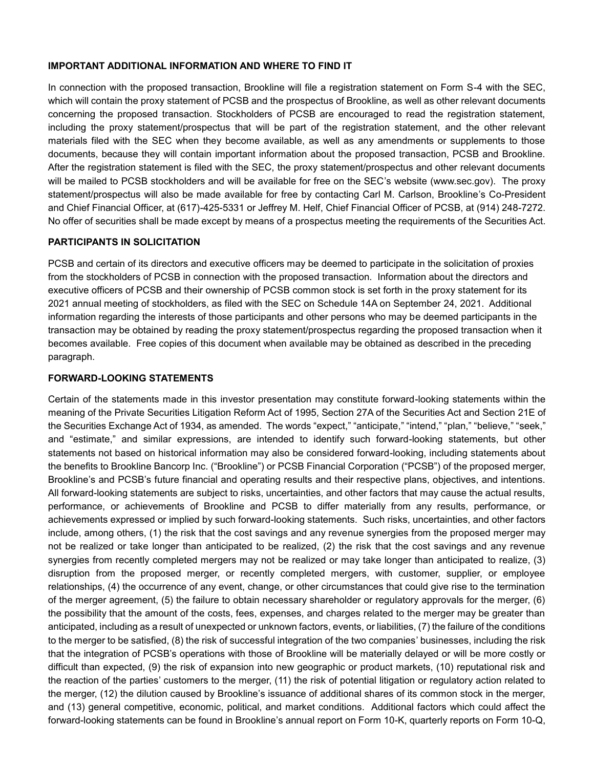#### **IMPORTANT ADDITIONAL INFORMATION AND WHERE TO FIND IT**

In connection with the proposed transaction, Brookline will file a registration statement on Form S-4 with the SEC, which will contain the proxy statement of PCSB and the prospectus of Brookline, as well as other relevant documents concerning the proposed transaction. Stockholders of PCSB are encouraged to read the registration statement, including the proxy statement/prospectus that will be part of the registration statement, and the other relevant materials filed with the SEC when they become available, as well as any amendments or supplements to those documents, because they will contain important information about the proposed transaction, PCSB and Brookline. After the registration statement is filed with the SEC, the proxy statement/prospectus and other relevant documents will be mailed to PCSB stockholders and will be available for free on the SEC's website (www.sec.gov). The proxy statement/prospectus will also be made available for free by contacting Carl M. Carlson, Brookline's Co-President and Chief Financial Officer, at (617)-425-5331 or Jeffrey M. Helf, Chief Financial Officer of PCSB, at (914) 248-7272. No offer of securities shall be made except by means of a prospectus meeting the requirements of the Securities Act.

#### **PARTICIPANTS IN SOLICITATION**

PCSB and certain of its directors and executive officers may be deemed to participate in the solicitation of proxies from the stockholders of PCSB in connection with the proposed transaction. Information about the directors and executive officers of PCSB and their ownership of PCSB common stock is set forth in the proxy statement for its 2021 annual meeting of stockholders, as filed with the SEC on Schedule 14A on September 24, 2021. Additional information regarding the interests of those participants and other persons who may be deemed participants in the transaction may be obtained by reading the proxy statement/prospectus regarding the proposed transaction when it becomes available. Free copies of this document when available may be obtained as described in the preceding paragraph.

#### **FORWARD-LOOKING STATEMENTS**

Certain of the statements made in this investor presentation may constitute forward-looking statements within the meaning of the Private Securities Litigation Reform Act of 1995, Section 27A of the Securities Act and Section 21E of the Securities Exchange Act of 1934, as amended. The words "expect," "anticipate," "intend," "plan," "believe," "seek," and "estimate," and similar expressions, are intended to identify such forward-looking statements, but other statements not based on historical information may also be considered forward-looking, including statements about the benefits to Brookline Bancorp Inc. ("Brookline") or PCSB Financial Corporation ("PCSB") of the proposed merger, Brookline's and PCSB's future financial and operating results and their respective plans, objectives, and intentions. All forward-looking statements are subject to risks, uncertainties, and other factors that may cause the actual results, performance, or achievements of Brookline and PCSB to differ materially from any results, performance, or achievements expressed or implied by such forward-looking statements. Such risks, uncertainties, and other factors include, among others, (1) the risk that the cost savings and any revenue synergies from the proposed merger may not be realized or take longer than anticipated to be realized, (2) the risk that the cost savings and any revenue synergies from recently completed mergers may not be realized or may take longer than anticipated to realize, (3) disruption from the proposed merger, or recently completed mergers, with customer, supplier, or employee relationships, (4) the occurrence of any event, change, or other circumstances that could give rise to the termination of the merger agreement, (5) the failure to obtain necessary shareholder or regulatory approvals for the merger, (6) the possibility that the amount of the costs, fees, expenses, and charges related to the merger may be greater than anticipated, including as a result of unexpected or unknown factors, events, or liabilities, (7) the failure of the conditions to the merger to be satisfied, (8) the risk of successful integration of the two companies' businesses, including the risk that the integration of PCSB's operations with those of Brookline will be materially delayed or will be more costly or difficult than expected, (9) the risk of expansion into new geographic or product markets, (10) reputational risk and the reaction of the parties' customers to the merger, (11) the risk of potential litigation or regulatory action related to the merger, (12) the dilution caused by Brookline's issuance of additional shares of its common stock in the merger, and (13) general competitive, economic, political, and market conditions. Additional factors which could affect the forward-looking statements can be found in Brookline's annual report on Form 10-K, quarterly reports on Form 10-Q,